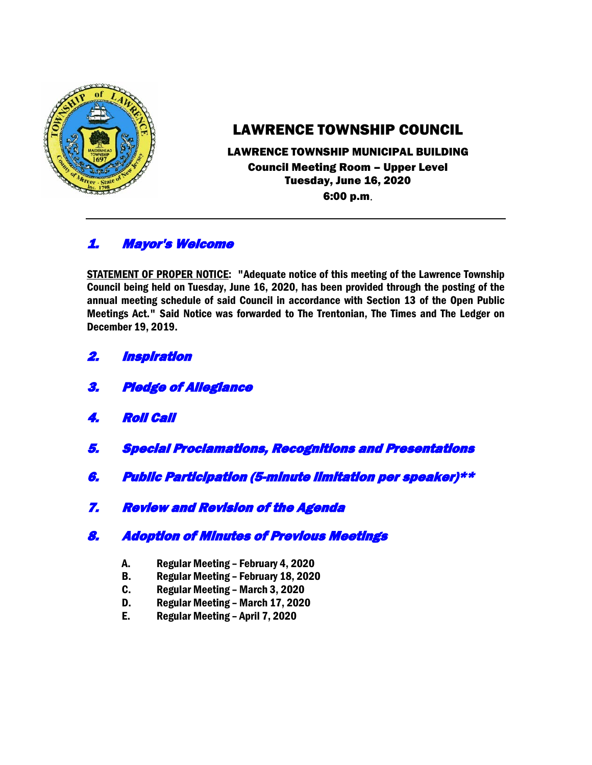

# LAWRENCE TOWNSHIP COUNCIL

### LAWRENCE TOWNSHIP MUNICIPAL BUILDING Council Meeting Room – Upper Level Tuesday, June 16, 2020 6:00 p.m.

# 1. Mayor's Welcome

STATEMENT OF PROPER NOTICE: "Adequate notice of this meeting of the Lawrence Township Council being held on Tuesday, June 16, 2020, has been provided through the posting of the annual meeting schedule of said Council in accordance with Section 13 of the Open Public Meetings Act." Said Notice was forwarded to The Trentonian, The Times and The Ledger on December 19, 2019.

- 2. Inspiration
- 3. Pledge of Allegiance
- 4. Roll Call
- 5. Special Proclamations, Recognitions and Presentations
- 6. Public Participation (5-minute limitation per speaker)\*\*
- 7. Review and Revision of the Agenda

# 8. Adoption of Minutes of Previous Meetings

- A. Regular Meeting February 4, 2020
- B. Regular Meeting February 18, 2020
- C. Regular Meeting March 3, 2020
- D. Regular Meeting March 17, 2020
- E. Regular Meeting April 7, 2020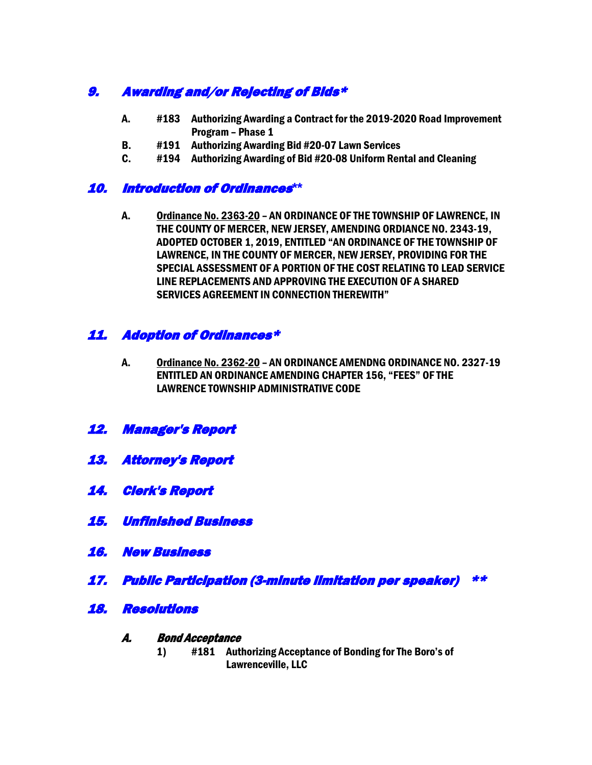# 9. Awarding and/or Rejecting of Bids\*

- A. #183 Authorizing Awarding a Contract for the 2019-2020 Road Improvement Program – Phase 1
- B. #191 Authorizing Awarding Bid #20-07 Lawn Services
- C. #194 Authorizing Awarding of Bid #20-08 Uniform Rental and Cleaning

## 10. Introduction of Ordinances**\*\***

A. Ordinance No. 2363-20 – AN ORDINANCE OF THE TOWNSHIP OF LAWRENCE, IN THE COUNTY OF MERCER, NEW JERSEY, AMENDING ORDIANCE NO. 2343-19, ADOPTED OCTOBER 1, 2019, ENTITLED "AN ORDINANCE OF THE TOWNSHIP OF LAWRENCE, IN THE COUNTY OF MERCER, NEW JERSEY, PROVIDING FOR THE SPECIAL ASSESSMENT OF A PORTION OF THE COST RELATING TO LEAD SERVICE LINE REPLACEMENTS AND APPROVING THE EXECUTION OF A SHARED SERVICES AGREEMENT IN CONNECTION THEREWITH"

# 11. Adoption of Ordinances\*

- A. Ordinance No. 2362-20 AN ORDINANCE AMENDNG ORDINANCE NO. 2327-19 ENTITLED AN ORDINANCE AMENDING CHAPTER 156, "FEES" OF THE LAWRENCE TOWNSHIP ADMINISTRATIVE CODE
- 12. Manager's Report
- 13. Attorney's Report
- 14. Clerk's Report
- 15. Unfinished Business
- 16. New Business
- 17. Public Participation (3-minute limitation per speaker) \*\*
- 18. Resolutions
	- A. Bond Acceptance
		- 1) #181 Authorizing Acceptance of Bonding for The Boro's of Lawrenceville, LLC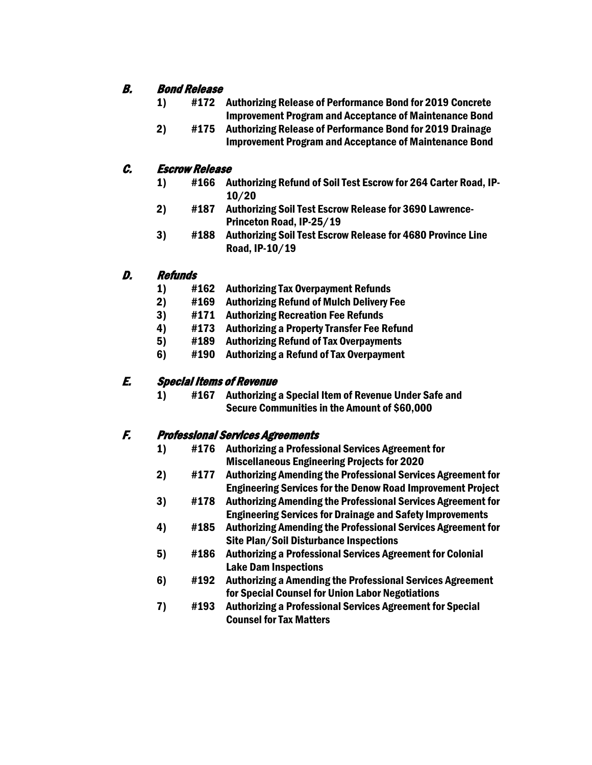# B. Bond Release

- 1) #172 Authorizing Release of Performance Bond for 2019 Concrete Improvement Program and Acceptance of Maintenance Bond
- 2) #175 Authorizing Release of Performance Bond for 2019 Drainage Improvement Program and Acceptance of Maintenance Bond

# C. Escrow Release

- 1) #166 Authorizing Refund of Soil Test Escrow for 264 Carter Road, IP-10/20
- 2) #187 Authorizing Soil Test Escrow Release for 3690 Lawrence-Princeton Road, IP-25/19
- 3) #188 Authorizing Soil Test Escrow Release for 4680 Province Line Road, IP-10/19

### D. Refunds

- 1) #162 Authorizing Tax Overpayment Refunds
- 2) #169 Authorizing Refund of Mulch Delivery Fee
- 3) #171 Authorizing Recreation Fee Refunds
- 4) #173 Authorizing a Property Transfer Fee Refund
- 5) #189 Authorizing Refund of Tax Overpayments
- 6) #190 Authorizing a Refund of Tax Overpayment

# E. Special Items of Revenue

1) #167 Authorizing a Special Item of Revenue Under Safe and Secure Communities in the Amount of \$60,000

### F. Professional Services Agreements

- 1) #176 Authorizing a Professional Services Agreement for Miscellaneous Engineering Projects for 2020
- 2) #177 Authorizing Amending the Professional Services Agreement for Engineering Services for the Denow Road Improvement Project
- 3) #178 Authorizing Amending the Professional Services Agreement for Engineering Services for Drainage and Safety Improvements
- 4) #185 Authorizing Amending the Professional Services Agreement for Site Plan/Soil Disturbance Inspections
- 5) #186 Authorizing a Professional Services Agreement for Colonial Lake Dam Inspections
- 6) #192 Authorizing a Amending the Professional Services Agreement for Special Counsel for Union Labor Negotiations
- 7) #193 Authorizing a Professional Services Agreement for Special Counsel for Tax Matters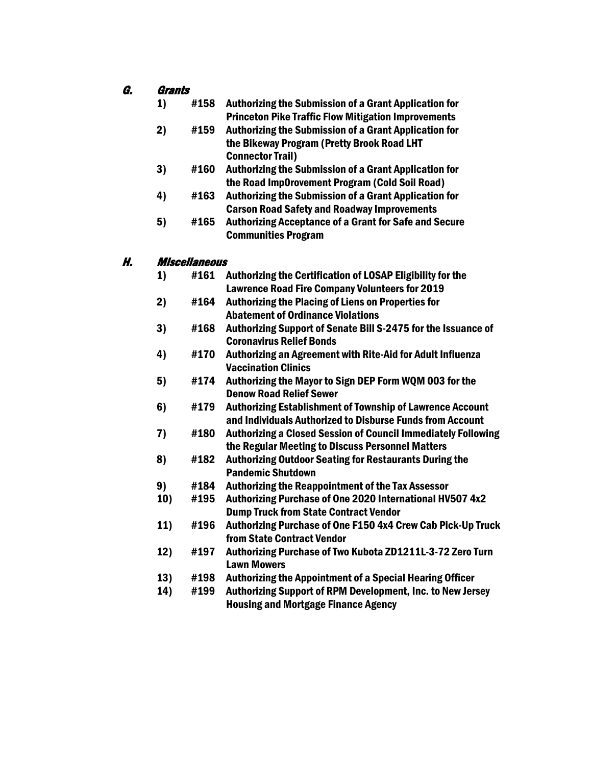#### G. Grants

- 1) #158 Authorizing the Submission of a Grant Application for Princeton Pike Traffic Flow Mitigation Improvements
- 2) #159 Authorizing the Submission of a Grant Application for the Bikeway Program (Pretty Brook Road LHT Connector Trail)
- 3) #160 Authorizing the Submission of a Grant Application for the Road Imp0rovement Program (Cold Soil Road)
- 4) #163 Authorizing the Submission of a Grant Application for Carson Road Safety and Roadway Improvements
- 5) #165 Authorizing Acceptance of a Grant for Safe and Secure Communities Program

#### H. Miscellaneous

- 1) #161 Authorizing the Certification of LOSAP Eligibility for the Lawrence Road Fire Company Volunteers for 2019
- 2) #164 Authorizing the Placing of Liens on Properties for Abatement of Ordinance Violations
- 3) #168 Authorizing Support of Senate Bill S-2475 for the Issuance of Coronavirus Relief Bonds
- 4) #170 Authorizing an Agreement with Rite-Aid for Adult Influenza Vaccination Clinics
- 5) #174 Authorizing the Mayor to Sign DEP Form WQM 003 for the Denow Road Relief Sewer
- 6) #179 Authorizing Establishment of Township of Lawrence Account and Individuals Authorized to Disburse Funds from Account
- 7) #180 Authorizing a Closed Session of Council Immediately Following the Regular Meeting to Discuss Personnel Matters
- 8) #182 Authorizing Outdoor Seating for Restaurants During the Pandemic Shutdown
- 9) #184 Authorizing the Reappointment of the Tax Assessor
- 10) #195 Authorizing Purchase of One 2020 International HV507 4x2 Dump Truck from State Contract Vendor
- 11) #196 Authorizing Purchase of One F150 4x4 Crew Cab Pick-Up Truck from State Contract Vendor
- 12) #197 Authorizing Purchase of Two Kubota ZD1211L-3-72 Zero Turn Lawn Mowers
- 13) #198 Authorizing the Appointment of a Special Hearing Officer
- 14) #199 Authorizing Support of RPM Development, Inc. to New Jersey Housing and Mortgage Finance Agency